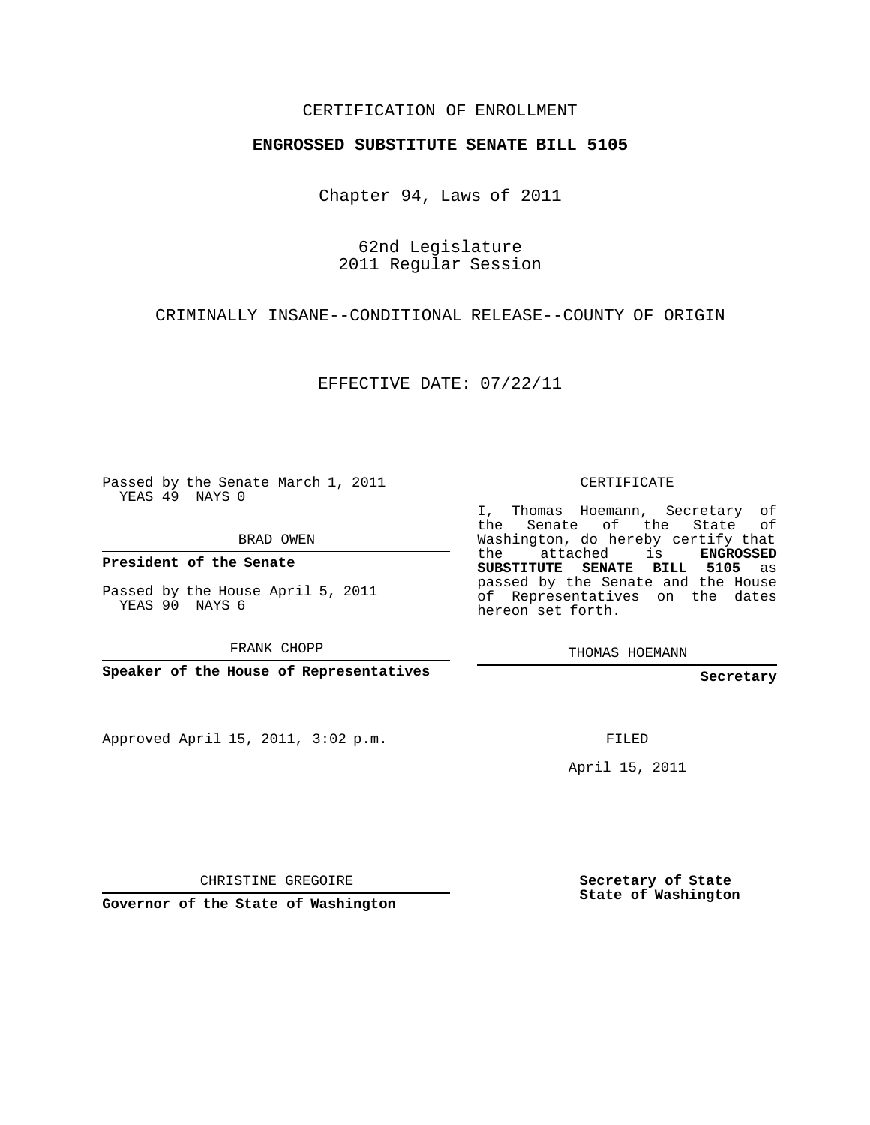## CERTIFICATION OF ENROLLMENT

## **ENGROSSED SUBSTITUTE SENATE BILL 5105**

Chapter 94, Laws of 2011

62nd Legislature 2011 Regular Session

CRIMINALLY INSANE--CONDITIONAL RELEASE--COUNTY OF ORIGIN

EFFECTIVE DATE: 07/22/11

Passed by the Senate March 1, 2011 YEAS 49 NAYS 0

BRAD OWEN

**President of the Senate**

Passed by the House April 5, 2011 YEAS 90 NAYS 6

FRANK CHOPP

**Speaker of the House of Representatives**

Approved April 15, 2011, 3:02 p.m.

CERTIFICATE

I, Thomas Hoemann, Secretary of the Senate of the State Washington, do hereby certify that the attached is **ENGROSSED SUBSTITUTE SENATE BILL 5105** as passed by the Senate and the House of Representatives on the dates hereon set forth.

THOMAS HOEMANN

**Secretary**

FILED

April 15, 2011

CHRISTINE GREGOIRE

**Governor of the State of Washington**

**Secretary of State State of Washington**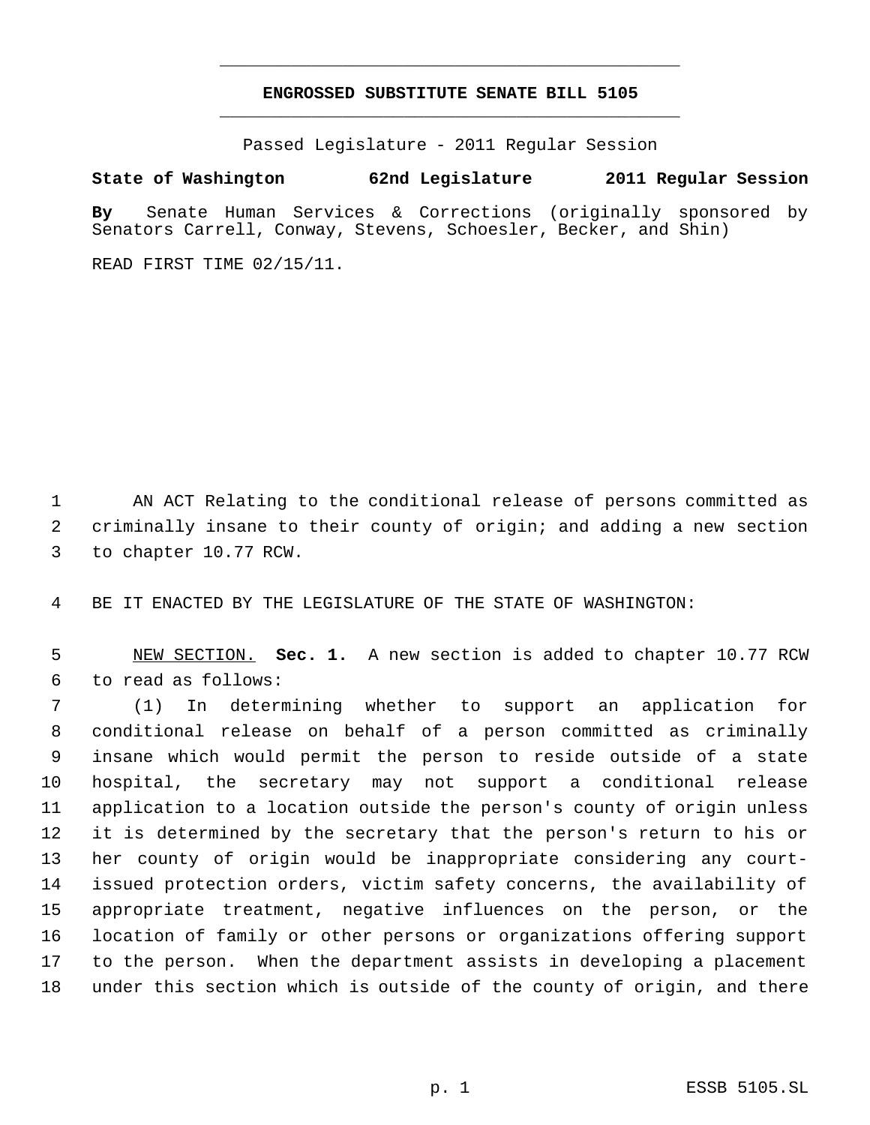## **ENGROSSED SUBSTITUTE SENATE BILL 5105** \_\_\_\_\_\_\_\_\_\_\_\_\_\_\_\_\_\_\_\_\_\_\_\_\_\_\_\_\_\_\_\_\_\_\_\_\_\_\_\_\_\_\_\_\_

\_\_\_\_\_\_\_\_\_\_\_\_\_\_\_\_\_\_\_\_\_\_\_\_\_\_\_\_\_\_\_\_\_\_\_\_\_\_\_\_\_\_\_\_\_

Passed Legislature - 2011 Regular Session

## **State of Washington 62nd Legislature 2011 Regular Session**

**By** Senate Human Services & Corrections (originally sponsored by Senators Carrell, Conway, Stevens, Schoesler, Becker, and Shin)

READ FIRST TIME 02/15/11.

 AN ACT Relating to the conditional release of persons committed as criminally insane to their county of origin; and adding a new section to chapter 10.77 RCW.

BE IT ENACTED BY THE LEGISLATURE OF THE STATE OF WASHINGTON:

 NEW SECTION. **Sec. 1.** A new section is added to chapter 10.77 RCW to read as follows:

 (1) In determining whether to support an application for conditional release on behalf of a person committed as criminally insane which would permit the person to reside outside of a state hospital, the secretary may not support a conditional release application to a location outside the person's county of origin unless it is determined by the secretary that the person's return to his or her county of origin would be inappropriate considering any court- issued protection orders, victim safety concerns, the availability of appropriate treatment, negative influences on the person, or the location of family or other persons or organizations offering support to the person. When the department assists in developing a placement under this section which is outside of the county of origin, and there